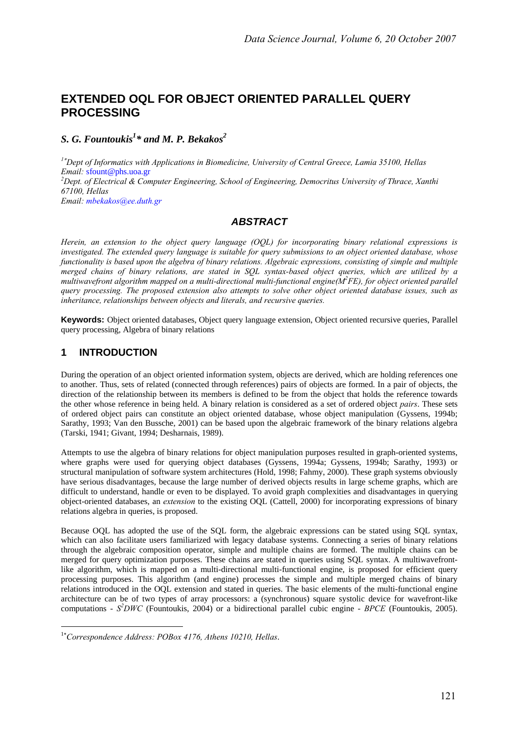# **EXTENDED OQL FOR OBJECT ORIENTED PARALLEL QUERY PROCESSING**

*S. G. Fountoukis<sup>1</sup> \* and M. P. Bekakos2* 

*<sup>1</sup>*<sup>∗</sup> *Dept of Informatics with Applications in Biomedicine, University of Central Greece, Lamia 35100, Hellas Email:* sfount@phs.uoa.gr *2 Dept. of Electrical & Computer Engineering, School of Engineering, Democritus University of Thrace, Xanthi 67100, Hellas Email: mbekakos@ee.duth.gr*

### *ABSTRACT*

*Herein, an extension to the object query language (OQL) for incorporating binary relational expressions is investigated. The extended query language is suitable for query submissions to an object oriented database, whose functionality is based upon the algebra of binary relations. Algebraic expressions, consisting of simple and multiple merged chains of binary relations, are stated in SQL syntax-based object queries, which are utilized by a multiwavefront algorithm mapped on a multi-directional multi-functional engine(M2 FE), for object oriented parallel query processing. The proposed extension also attempts to solve other object oriented database issues, such as inheritance, relationships between objects and literals, and recursive queries.* 

**Keywords:** Object oriented databases, Object query language extension, Object oriented recursive queries, Parallel query processing, Algebra of binary relations

## **1 INTRODUCTION**

-

During the operation of an object oriented information system, objects are derived, which are holding references one to another. Thus, sets of related (connected through references) pairs of objects are formed. In a pair of objects, the direction of the relationship between its members is defined to be from the object that holds the reference towards the other whose reference in being held. A binary relation is considered as a set of ordered object *pairs*. These sets of ordered object pairs can constitute an object oriented database, whose object manipulation (Gyssens, 1994b; Sarathy, 1993; Van den Bussche, 2001) can be based upon the algebraic framework of the binary relations algebra (Tarski, 1941; Givant, 1994; Desharnais, 1989).

Attempts to use the algebra of binary relations for object manipulation purposes resulted in graph-oriented systems, where graphs were used for querying object databases (Gyssens, 1994a; Gyssens, 1994b; Sarathy, 1993) or structural manipulation of software system architectures (Hold, 1998; Fahmy, 2000). These graph systems obviously have serious disadvantages, because the large number of derived objects results in large scheme graphs, which are difficult to understand, handle or even to be displayed. To avoid graph complexities and disadvantages in querying object-oriented databases, an *extension* to the existing OQL (Cattell, 2000) for incorporating expressions of binary relations algebra in queries, is proposed.

Because OQL has adopted the use of the SQL form, the algebraic expressions can be stated using SQL syntax, which can also facilitate users familiarized with legacy database systems. Connecting a series of binary relations through the algebraic composition operator, simple and multiple chains are formed. The multiple chains can be merged for query optimization purposes. These chains are stated in queries using SQL syntax. A multiwavefrontlike algorithm, which is mapped on a multi-directional multi-functional engine, is proposed for efficient query processing purposes. This algorithm (and engine) processes the simple and multiple merged chains of binary relations introduced in the OQL extension and stated in queries. The basic elements of the multi-functional engine architecture can be of two types of array processors: a (synchronous) square systolic device for wavefront-like computations - *S2 DWC* (Fountoukis, 2004) or a bidirectional parallel cubic engine - *BPCE* (Fountoukis, 2005).

<sup>1</sup>∗ *Correspondence Address: POBox 4176, Athens 10210, Hellas*.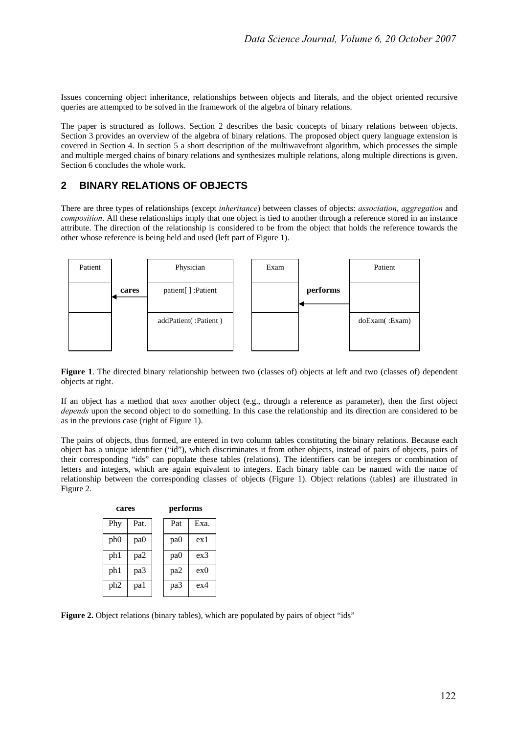Issues concerning object inheritance, relationships between objects and literals, and the object oriented recursive queries are attempted to be solved in the framework of the algebra of binary relations.

The paper is structured as follows. Section 2 describes the basic concepts of binary relations between objects. Section 3 provides an overview of the algebra of binary relations. The proposed object query language extension is covered in Section 4. In section 5 a short description of the multiwavefront algorithm, which processes the simple and multiple merged chains of binary relations and synthesizes multiple relations, along multiple directions is given. Section 6 concludes the whole work.

## **2 BINARY RELATIONS OF OBJECTS**

There are three types of relationships (except *inheritance*) between classes of objects: *association*, *aggregation* and *composition*. All these relationships imply that one object is tied to another through a reference stored in an instance attribute. The direction of the relationship is considered to be from the object that holds the reference towards the other whose reference is being held and used (left part of Figure 1).



**Figure 1**. The directed binary relationship between two (classes of) objects at left and two (classes of) dependent objects at right.

If an object has a method that *uses* another object (e.g., through a reference as parameter), then the first object *depends* upon the second object to do something. In this case the relationship and its direction are considered to be as in the previous case (right of Figure 1).

The pairs of objects, thus formed, are entered in two column tables constituting the binary relations. Because each object has a unique identifier ("id"), which discriminates it from other objects, instead of pairs of objects, pairs of their corresponding "ids" can populate these tables (relations). The identifiers can be integers or combination of letters and integers, which are again equivalent to integers. Each binary table can be named with the name of relationship between the corresponding classes of objects (Figure 1). Object relations (tables) are illustrated in Figure 2.

| cares           |      | performs        |      |  |
|-----------------|------|-----------------|------|--|
| Phy             | Pat. | Pat             | Exa. |  |
| ph <sub>0</sub> | pa0  | pa <sub>0</sub> | ex1  |  |
| ph1             | pa2  | pa <sub>0</sub> | ex3  |  |
| ph1             | pa3  | pa2             | ex0  |  |
| ph <sub>2</sub> | pa1  | pa3             | ex4  |  |

Figure 2. Object relations (binary tables), which are populated by pairs of object "ids"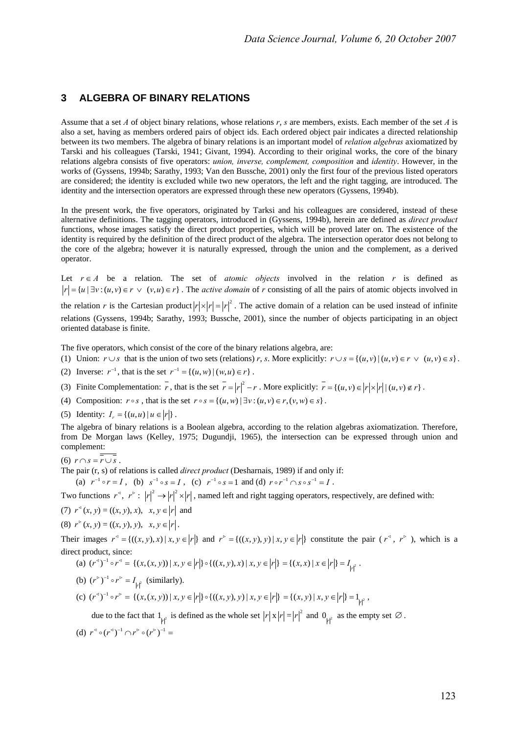### **3 ALGEBRA OF BINARY RELATIONS**

Assume that a set *A* of object binary relations, whose relations *r*, *s* are members, exists. Each member of the set *A* is also a set, having as members ordered pairs of object ids. Each ordered object pair indicates a directed relationship between its two members. The algebra of binary relations is an important model of *relation algebras* axiomatized by Tarski and his colleagues (Tarski, 1941; Givant, 1994). According to their original works, the core of the binary relations algebra consists of five operators: *union, inverse, complement, composition* and *identity*. However, in the works of (Gyssens, 1994b; Sarathy, 1993; Van den Bussche, 2001) only the first four of the previous listed operators are considered; the identity is excluded while two new operators, the left and the right tagging, are introduced. The identity and the intersection operators are expressed through these new operators (Gyssens, 1994b).

In the present work, the five operators, originated by Tarksi and his colleagues are considered, instead of these alternative definitions. The tagging operators, introduced in (Gyssens, 1994b), herein are defined as *direct product* functions, whose images satisfy the direct product properties, which will be proved later on. The existence of the identity is required by the definition of the direct product of the algebra. The intersection operator does not belong to the core of the algebra; however it is naturally expressed, through the union and the complement, as a derived operator.

Let  $r \in A$  be a relation. The set of *atomic objects* involved in the relation r is defined as  $|r| = \{u \mid \exists v : (u, v) \in r \lor (v, u) \in r\}$ . The *active domain* of *r* consisting of all the pairs of atomic objects involved in

the relation *r* is the Cartesian product  $|r|x|r| = |r|^2$ . The active domain of a relation can be used instead of infinite relations (Gyssens, 1994b; Sarathy, 1993; Bussche, 2001), since the number of objects participating in an object oriented database is finite.

The five operators, which consist of the core of the binary relations algebra, are:

- (1) Union:  $r \cup s$  that is the union of two sets (relations) *r*, *s*. More explicitly:  $r \cup s = \{(u, v) | (u, v) \in r \vee (u, v) \in s\}.$
- (2) Inverse:  $r^{-1}$ , that is the set  $r^{-1} = \{(u, w) | (w, u) \in r\}$ .
- (3) Finite Complementation:  $\overline{r}$ , that is the set  $\overline{r} = |r|^2 r$ . More explicitly:  $\overline{r} = \{(u, v) \in |r| \times |r| | (u, v) \notin r\}$ .
- (4) Composition:  $r \circ s$ , that is the set  $r \circ s = \{(u, w) | \exists v : (u, v) \in r, (v, w) \in s\}.$
- (5) Identity:  $I_r = \{(u, u) | u \in |r|\}.$

The algebra of binary relations is a Boolean algebra, according to the relation algebras axiomatization. Therefore, from De Morgan laws (Kelley, 1975; Dugundji, 1965), the intersection can be expressed through union and complement:

 $(6)$   $r \cap s = r \cup s$ .

The pair (r, s) of relations is called *direct product* (Desharnais, 1989) if and only if:

(a)  $r^{-1} \circ r = I$ , (b)  $s^{-1} \circ s = I$ , (c)  $r^{-1} \circ s = 1$  and (d)  $r \circ r^{-1} \cap s \circ s^{-1} = I$ .

Two functions  $r^4$ ,  $r^6$ :  $|r|^2 \rightarrow |r|^2 \times |r|$ , named left and right tagging operators, respectively, are defined with:

(7)  $r^{\triangleleft}(x, y) = ((x, y), x), x, y \in |r|$  and

$$
(8) r5 (x, y) = ((x, y), y), x, y \in |r|.
$$

Their images  $r^4 = \{((x, y), x) | x, y \in |r|\}$  and  $r^* = \{((x, y), y) | x, y \in |r|\}$  constitute the pair  $(r^4, r^6)$ , which is a direct product, since:

(a) 
$$
(r^{\triangleleft})^{-1} \circ r^{\triangleleft} = \{(x,(x,y)) \mid x, y \in |r|\} \circ \{((x,y),x) \mid x, y \in |r|\} = \{(x,x) \mid x \in |r|\} = I_{|r|^2}
$$
.

- (b)  $(r^{\circ})^{-1} \circ r^{\circ} = I_{|r|^2}$  (similarly).
- $f(c)$   $(r^3)^{-1} \circ r^5 = \{(x, (x, y)) \mid x, y \in |r| \} \circ \{(x, y), y) \mid x, y \in |r| \} = \{(x, y) \mid x, y \in |r| \} = 1_{|r|^2},$

due to the fact that  $1_{|r|^2}$  is defined as the whole set  $|r|x|r| = |r|^2$  and  $0_{|r|^2}$  as the empty set  $\emptyset$ .

(d) 
$$
r^{\triangleleft} \circ (r^{\triangleleft})^{-1} \cap r^{\triangleright} \circ (r^{\triangleright})^{-1} =
$$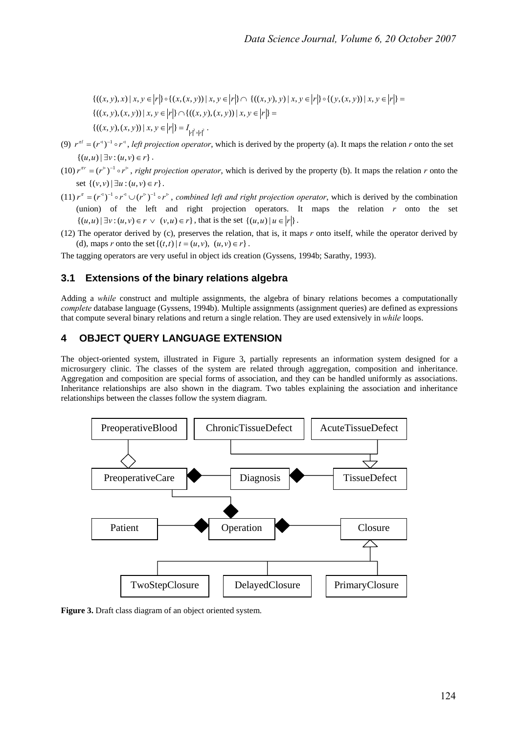$\{( (x, y), x) | x, y \in |r| \} \circ \{ (x, (x, y)) | x, y \in |r| \} \cap \{ ((x, y), y) | x, y \in |r| \} \circ \{ (y, (x, y)) | x, y \in |r| \} =$  $\{((x, y), (x, y)) \mid x, y \in |r|\} \cap \{((x, y), (x, y)) \mid x, y \in |r|\} =$  $\{((x, y), (x, y)) \mid x, y \in |r|\} = I_{|r|^2 \times |r|^2}$ .

- (9)  $r^{\pi l} = (r^{\pi})^{-1} \circ r^{\pi}$ , *left projection operator*, which is derived by the property (a). It maps the relation *r* onto the set  $\{(u, u) | \exists v : (u, v) \in r\}.$
- $(10) r^{\pi r} = (r^{\circ})^{-1} \circ r^{\circ}$ , *right projection operator*, which is derived by the property (b). It maps the relation *r* onto the set  $\{(v, v) | \exists u : (u, v) \in r\}.$
- $(11) r^{\pi} = (r^{\pi})^{-1} \circ r^{\pi} \cup (r^{\pi})^{-1} \circ r^{\pi}$ , *combined left and right projection operator*, which is derived by the combination (union) of the left and right projection operators. It maps the relation *r* onto the set  $\{(u, u) | \exists v : (u, v) \in r \vee (v, u) \in r\},\$  that is the set  $\{(u, u) | u \in |r|\}.$
- (12) The operator derived by (c), preserves the relation, that is, it maps *r* onto itself, while the operator derived by (d), maps *r* onto the set  $\{(t, t) | t = (u, v), (u, v) \in r\}$ .

The tagging operators are very useful in object ids creation (Gyssens, 1994b; Sarathy, 1993).

### **3.1 Extensions of the binary relations algebra**

Adding a *while* construct and multiple assignments, the algebra of binary relations becomes a computationally *complete* database language (Gyssens, 1994b). Multiple assignments (assignment queries) are defined as expressions that compute several binary relations and return a single relation. They are used extensively in *while* loops.

## **4 OBJECT QUERY LANGUAGE EXTENSION**

The object-oriented system, illustrated in Figure 3, partially represents an information system designed for a microsurgery clinic. The classes of the system are related through aggregation, composition and inheritance. Aggregation and composition are special forms of association, and they can be handled uniformly as associations. Inheritance relationships are also shown in the diagram. Two tables explaining the association and inheritance relationships between the classes follow the system diagram.



**Figure 3.** Draft class diagram of an object oriented system.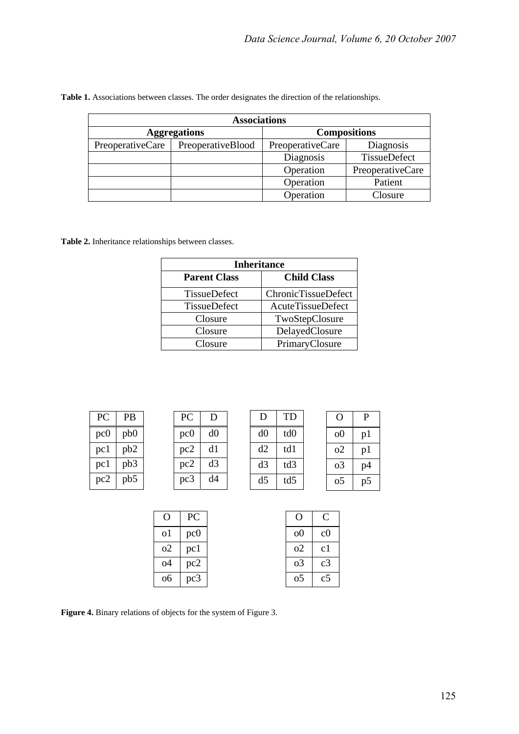| <b>Associations</b> |                     |                               |                  |  |  |
|---------------------|---------------------|-------------------------------|------------------|--|--|
|                     | <b>Aggregations</b> | <b>Compositions</b>           |                  |  |  |
| PreoperativeCare    | PreoperativeBlood   | PreoperativeCare<br>Diagnosis |                  |  |  |
|                     |                     | Diagnosis                     | TissueDefect     |  |  |
|                     |                     | Operation                     | PreoperativeCare |  |  |
|                     |                     | Operation                     | Patient          |  |  |
|                     |                     | Operation                     | Closure          |  |  |

**Table 1.** Associations between classes. The order designates the direction of the relationships.

**Table 2.** Inheritance relationships between classes.

| <b>Inheritance</b>                        |                            |  |  |
|-------------------------------------------|----------------------------|--|--|
| <b>Parent Class</b><br><b>Child Class</b> |                            |  |  |
| TissueDefect                              | <b>ChronicTissueDefect</b> |  |  |
| <b>TissueDefect</b>                       | <b>AcuteTissueDefect</b>   |  |  |
| Closure                                   | TwoStepClosure             |  |  |
| Closure                                   | DelayedClosure             |  |  |
| Closure                                   | PrimaryClosure             |  |  |

| PC              | <b>PB</b>       | PC              | Ð  |                | ΓD              | Ő              | P  |
|-----------------|-----------------|-----------------|----|----------------|-----------------|----------------|----|
| pc0             | pb0             | pc0             | d0 | d0             | td <sub>0</sub> | 0 <sup>0</sup> | pl |
| pc <sub>1</sub> | pb <sub>2</sub> | pc2             | d1 | d2             | td1             | o2             | pl |
| pc <sub>1</sub> | pb <sub>3</sub> | pc2             | d3 | d3             | td3             | 0 <sup>3</sup> | p4 |
| pc2             | pb5             | pc <sub>3</sub> | d4 | d <sub>5</sub> | td5             | 0 <sub>5</sub> | p5 |

|    | PC  |
|----|-----|
| 01 | pc0 |
| 02 | pc1 |
| ο4 | pc2 |
| 06 | pc3 |

| O              | Γ.             |
|----------------|----------------|
| o0             | c0             |
| 02             | c1             |
| 0 <sup>3</sup> | c <sub>3</sub> |
| 05             | c <sub>5</sub> |

**Figure 4.** Binary relations of objects for the system of Figure 3.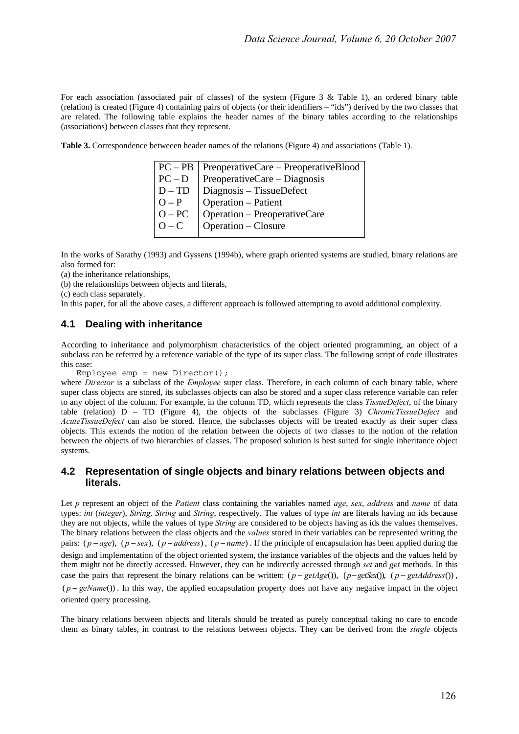For each association (associated pair of classes) of the system (Figure 3 & Table 1), an ordered binary table (relation) is created (Figure 4) containing pairs of objects (or their identifiers – "ids") derived by the two classes that are related. The following table explains the header names of the binary tables according to the relationships (associations) between classes that they represent.

**Table 3.** Correspondence betweeen header names of the relations (Figure 4) and associations (Table 1).

|          | $PC - PB$   PreoperativeCare – PreoperativeBlood |
|----------|--------------------------------------------------|
| $PC - D$ | PreoperativeCare - Diagnosis                     |
| $D - TD$ | Diagnosis - TissueDefect                         |
| $O - P$  | Operation - Patient                              |
| $O - PC$ | Operation - PreoperativeCare                     |
| $O - C$  | Operation – Closure                              |
|          |                                                  |

In the works of Sarathy (1993) and Gyssens (1994b), where graph oriented systems are studied, binary relations are also formed for:

(a) the inheritance relationships,

(b) the relationships between objects and literals,

(c) each class separately.

In this paper, for all the above cases, a different approach is followed attempting to avoid additional complexity.

### **4.1 Dealing with inheritance**

According to inheritance and polymorphism characteristics of the object oriented programming, an object of a subclass can be referred by a reference variable of the type of its super class. The following script of code illustrates this case:

Employee emp = new Director();

where *Director* is a subclass of the *Employee* super class. Therefore, in each column of each binary table, where super class objects are stored, its subclasses objects can also be stored and a super class reference variable can refer to any object of the column. For example, in the column TD, which represents the class *TissueDefect*, of the binary table (relation) D – TD (Figure 4), the objects of the subclasses (Figure 3) *ChronicTissueDefect* and *AcuteTissueDefect* can also be stored. Hence, the subclasses objects will be treated exactly as their super class objects. This extends the notion of the relation between the objects of two classes to the notion of the relation between the objects of two hierarchies of classes. The proposed solution is best suited for single inheritance object systems.

### **4.2 Representation of single objects and binary relations between objects and literals.**

Let *p* represent an object of the *Patient* class containing the variables named *age*, *sex*, *address* and *name* of data types: *int* (*integer*), *String, String* and *String*, respectively. The values of type *int* are literals having no ids because they are not objects, while the values of type *String* are considered to be objects having as ids the values themselves. The binary relations between the class objects and the *values* stored in their variables can be represented writing the pairs:  $(p - age)$ ,  $(p - sex)$ ,  $(p - address)$ ,  $(p - name)$ . If the principle of encapsulation has been applied during the design and implementation of the object oriented system, the instance variables of the objects and the values held by them might not be directly accessed. However, they can be indirectly accessed through *set* and *get* methods. In this case the pairs that represent the binary relations can be written:  $(p - getAge())$ ,  $(p - getSex())$ ,  $(p - getAddress())$ ,  $(p - geName))$ . In this way, the applied encapsulation property does not have any negative impact in the object oriented query processing.

The binary relations between objects and literals should be treated as purely conceptual taking no care to encode them as binary tables, in contrast to the relations between objects. They can be derived from the *single* objects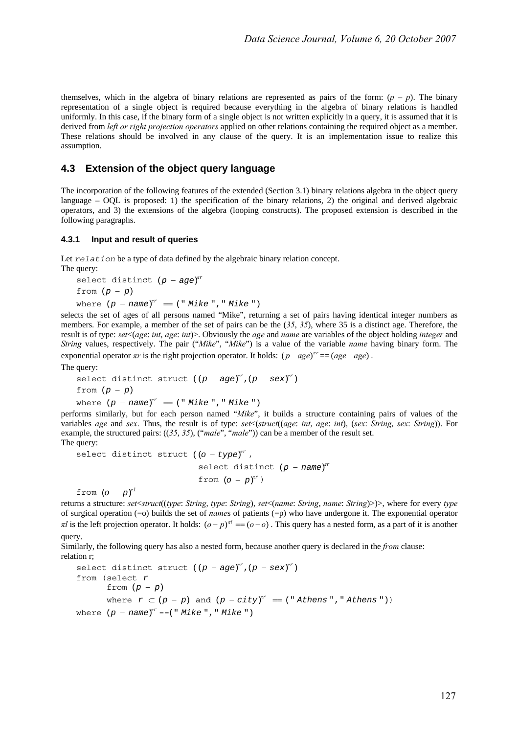themselves, which in the algebra of binary relations are represented as pairs of the form:  $(p - p)$ . The binary representation of a single object is required because everything in the algebra of binary relations is handled uniformly. In this case, if the binary form of a single object is not written explicitly in a query, it is assumed that it is derived from *left or right projection operators* applied on other relations containing the required object as a member. These relations should be involved in any clause of the query. It is an implementation issue to realize this assumption.

### **4.3 Extension of the object query language**

The incorporation of the following features of the extended (Section 3.1) binary relations algebra in the object query language – OQL is proposed: 1) the specification of the binary relations, 2) the original and derived algebraic operators, and 3) the extensions of the algebra (looping constructs). The proposed extension is described in the following paragraphs.

#### **4.3.1 Input and result of queries**

Let *relation* be a type of data defined by the algebraic binary relation concept. The query:

```
select distinct (p - age)^{rr}from (p - p)where (p - name)^{r} = (" Mike", " Mike")
```
selects the set of ages of all persons named "Mike", returning a set of pairs having identical integer numbers as members. For example, a member of the set of pairs can be the (*35*, *35*), where 35 is a distinct age. Therefore, the result is of type: *set*<(*age*: *int*, *age*: *int*)>. Obviously the *age* and *name* are variables of the object holding *integer* and *String* values, respectively. The pair ("*Mike*", "*Mike*") is a value of the variable *name* having binary form. The exponential operator  $\pi r$  is the right projection operator. It holds:  $(p - age)^{\pi r} = (age - age)$ .

The query:

```
select distinct struct ((p - aqe)^{rr}, (p - sex)^{rr})from (p − p)
```
where  $(p - name)^{rr} = (" Mike", " Mike")$ 

performs similarly, but for each person named "*Mike*", it builds a structure containing pairs of values of the variables *age* and *sex*. Thus, the result is of type: *set*<(*struct*((*age*: *int*, *age*: *int*), (*sex*: *String*, *sex*: *String*)). For example, the structured pairs: ((*35*, *35*), ("*male*", "*male*")) can be a member of the result set. The query:

```
select distinct struct ((o - type)^{rr},
                            select distinct (p - name)^{rr}from (o - p)^{nr}
```
from  $(o - p)^{n}$ 

returns a structure: *set*<*struct*((*type*: *String*, *type*: *String*), *set*<(*name*: *String*, *name*: *String*)>)>, where for every *type* of surgical operation (=o) builds the set of *name*s of patients (=p) who have undergone it. The exponential operator *πl* is the left projection operator. It holds:  $(o - p)^{n} = (o - o)$ . This query has a nested form, as a part of it is another query.

Similarly, the following query has also a nested form, because another query is declared in the *from* clause: relation r;

```
select distinct struct ((p - aqe)^{nr},(p - sex)^{nr})from (select r
        from (p − p)
      where r \subset (p - p) and (p - city)^{rr} = (" Athens", " Athens")where (p - name)^{rr} == (" Mike", " Mike")
```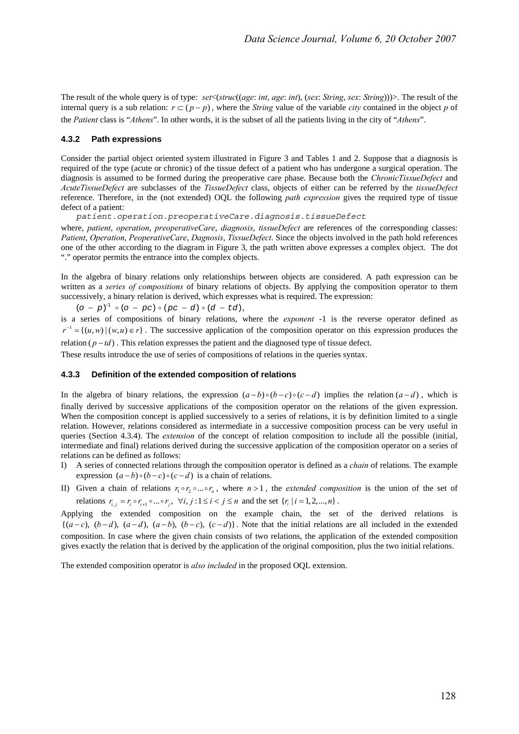The result of the whole query is of type: *set*<(*struc*((*age*: *int*, *age*: *int*), (*sex*: *String*, *sex*: *String*)))>. The result of the internal query is a sub relation:  $r \subset (p - p)$ , where the *String* value of the variable *city* contained in the object *p* of the *Patient* class is "*Athens*". In other words, it is the subset of all the patients living in the city of "*Athens*".

#### **4.3.2 Path expressions**

Consider the partial object oriented system illustrated in Figure 3 and Tables 1 and 2. Suppose that a diagnosis is required of the type (acute or chronic) of the tissue defect of a patient who has undergone a surgical operation. The diagnosis is assumed to be formed during the preoperative care phase. Because both the *ChronicTissueDefect* and *AcuteTissueDefect* are subclasses of the *TissueDefect* class, objects of either can be referred by the *tissueDefect* reference. Therefore, in the (not extended) OQL the following *path expression* gives the required type of tissue defect of a patient:

*patient.operation.preoperativeCare.diagnosis.tissueDefect* 

where, *patient*, *operation*, *preoperativeCare*, *diagnosis*, *tissueDefect* are references of the corresponding classes: *Patient*, *Operation*, *PeoperativeCare*, *Dagnosis*, *TissueDefect*. Since the objects involved in the path hold references one of the other according to the diagram in Figure 3, the path written above expresses a complex object. The dot "." operator permits the entrance into the complex objects.

In the algebra of binary relations only relationships between objects are considered. A path expression can be written as a *series of compositions* of binary relations of objects. By applying the composition operator to them successively, a binary relation is derived, which expresses what is required. The expression:

 $(o - p)^{-1} \circ (o - pc) \circ (pc - d) \circ (d - td),$ 

is a series of compositions of binary relations, where the *exponent* -1 is the reverse operator defined as  $r^{-1} = \{(u, w) | (w, u) \in r\}$ . The successive application of the composition operator on this expression produces the

relation ( $p - td$ ). This relation expresses the patient and the diagnosed type of tissue defect.

These results introduce the use of series of compositions of relations in the queries syntax.

#### **4.3.3 Definition of the extended composition of relations**

In the algebra of binary relations, the expression  $(a - b) \circ (b - c) \circ (c - d)$  implies the relation  $(a - d)$ , which is finally derived by successive applications of the composition operator on the relations of the given expression. When the composition concept is applied successively to a series of relations, it is by definition limited to a single relation. However, relations considered as intermediate in a successive composition process can be very useful in queries (Section 4.3.4). The *extension* of the concept of relation composition to include all the possible (initial, intermediate and final) relations derived during the successive application of the composition operator on a series of relations can be defined as follows:

- I) A series of connected relations through the composition operator is defined as a *chain* of relations. The example expression  $(a - b) \circ (b - c) \circ (c - d)$  is a chain of relations.
- II) Given a chain of relations  $r_1 \circ r_2 \circ ... \circ r_n$ , where  $n > 1$ , the *extended composition* is the union of the set of relations  $r_{i,j} = r_i \circ r_{i+1} \circ ... \circ r_j$ ,  $\forall i, j : 1 \le i < j \le n$  and the set  $\{r_i \mid i = 1, 2, ..., n\}$ .

Applying the extended composition on the example chain, the set of the derived relations is  ${(a-c), (b-d), (a-d), (a-b), (b-c), (c-d)}$ . Note that the initial relations are all included in the extended composition. In case where the given chain consists of two relations, the application of the extended composition gives exactly the relation that is derived by the application of the original composition, plus the two initial relations.

The extended composition operator is *also included* in the proposed OQL extension.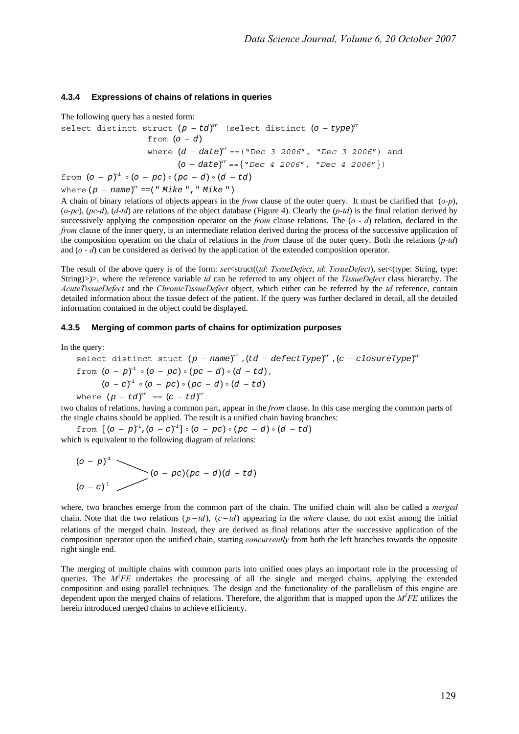#### **4.3.4 Expressions of chains of relations in queries**

The following query has a nested form:

```
select distinct struct (p - td)^{nr} (select distinct (o - type)^{nr}from (o - d)where (d - date)^{rr} = (``Dec 3 2006", "Dec 3 2006") and
                               (o - date)^{rr} = {\wedge^r \text{Dec 4 2006}}, \text{``Dec 4 2006''})from (o - p)^{-1} \circ (o - pc) \circ (pc - d) \circ (d - td)
```
where  $(p - name)^{rr} ==(" Mike", " Mike")$ 

A chain of binary relations of objects appears in the *from* clause of the outer query. It must be clarified that (*o-p*), (*o-pc*), (*pc-d*), (*d-td*) are relations of the object database (Figure 4). Clearly the (*p-td*) is the final relation derived by successively applying the composition operator on the *from* clause relations. The (*o - d*) relation, declared in the *from* clause of the inner query, is an intermediate relation derived during the process of the successive application of the composition operation on the chain of relations in the *from* clause of the outer query. Both the relations (*p-td*) and (*o - d*) can be considered as derived by the application of the extended composition operator.

The result of the above query is of the form: *set*<struct((*td*: *TssueDefect*, *td*: *TssueDefect*), set<(type: String, type: String)>)>, where the reference variable *td* can be referred to any object of the *TissueDefect* class hierarchy. The *AcuteTissueDefect* and the *ChronicTissueDefect* object, which either can be referred by the *td* reference, contain detailed information about the tissue defect of the patient. If the query was further declared in detail, all the detailed information contained in the object could be displayed.

#### **4.3.5 Merging of common parts of chains for optimization purposes**

In the query:

select distinct stuck 
$$
(p - name)^{n}
$$
,  $(td - defectType)^{n}$ ,  $(c - closureType)^{n}$   
from  $(o - p)^{1} \circ (o - pc) \circ (pc - d) \circ (d - td)$ ,  
 $(o - c)^{1} \circ (o - pc) \circ (pc - d) \circ (d - td)$   
where  $(p - td)^{n}$  =  $(c - td)^{n}$ 

two chains of relations, having a common part, appear in the *from* clause. In this case merging the common parts of the single chains should be applied. The result is a unified chain having branches:

from  $(0 - p)^{-1}$ ,  $(0 - c)^{-1}$  |  $\circ$   $(0 - pc)$   $\circ$   $(pc - d) \circ (d - td)$ which is equivalent to the following diagram of relations:

$$
(o - p)^{-1}
$$
  
\n
$$
(o - pc)(pc - d)(d - td)
$$
  
\n
$$
(o - c)^{-1}
$$

where, two branches emerge from the common part of the chain. The unified chain will also be called a *merged* chain. Note that the two relations  $(p - td)$ ,  $(c - td)$  appearing in the *where* clause, do not exist among the initial relations of the merged chain. Instead, they are derived as final relations after the successive application of the composition operator upon the unified chain, starting *concurrently* from both the left branches towards the opposite right single end.

The merging of multiple chains with common parts into unified ones plays an important role in the processing of queries. The  $M^2FE$  undertakes the processing of all the single and merged chains, applying the extended composition and using parallel techniques. The design and the functionality of the parallelism of this engine are dependent upon the merged chains of relations. Therefore, the algorithm that is mapped upon the  $M^2FE$  utilizes the herein introduced merged chains to achieve efficiency.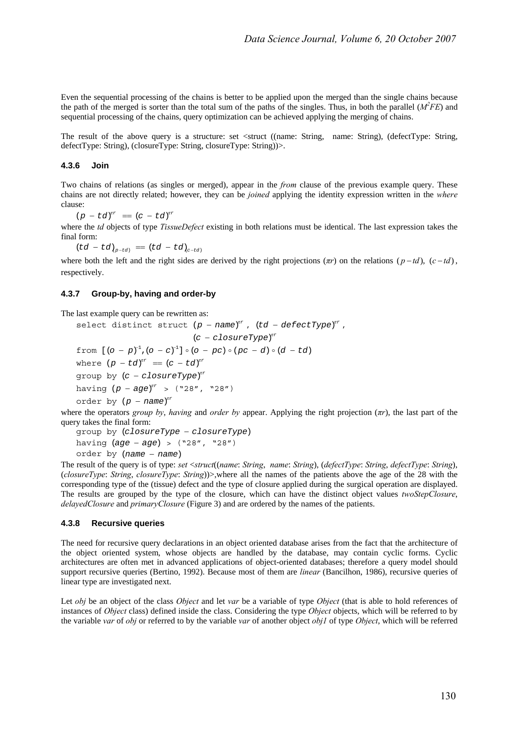Even the sequential processing of the chains is better to be applied upon the merged than the single chains because the path of the merged is sorter than the total sum of the paths of the singles. Thus, in both the parallel  $(M<sup>2</sup>FE)$  and sequential processing of the chains, query optimization can be achieved applying the merging of chains.

The result of the above query is a structure: set <struct ((name: String, name: String), (defectType: String, defectType: String), (closureType: String, closureType: String))>.

#### **4.3.6 Join**

Two chains of relations (as singles or merged), appear in the *from* clause of the previous example query. These chains are not directly related; however, they can be *joined* applying the identity expression written in the *where* clause:

 $(p - td)^{n r} = (c - td)^{n r}$ 

where the *td* objects of type *TissueDefect* existing in both relations must be identical. The last expression takes the final form:

 $(td - td)_{p - td} = (td - td)_{c - td}$ 

where both the left and the right sides are derived by the right projections  $(\pi r)$  on the relations  $(p - td)$ ,  $(c - td)$ , respectively.

#### **4.3.7 Group-by, having and order-by**

The last example query can be rewritten as:

```
select distinct struct (p - name)^{rr}, (td - defectType)^{rr},
                                 (c - c \text{losureType})^{rr}from [(o - p)^{-1}, (o - c)^{-1}] \circ (o - pc) \circ (pc - d) \circ (d - td)where (p - td)^{rr} = (c - td)^{rr}q roup by (c - c \textit{los} \textit{ureType})^{nr}having (p - aqe)^{rr} > ("28", "28")order by (p - name)^{rr}
```
where the operators *group by*, *having* and *order by* appear. Applying the right projection (*πr*), the last part of the query takes the final form:

```
group by (closureType - closureType)
having (age - age) > ("28", "28")
order by (name – name)
```
The result of the query is of type: *set* <*struct*((*name*: *String*, *name*: *String*), (*defectType*: *String*, *defectType*: *String*), (*closureType*: *String*, *closureType*: *String*))>,where all the names of the patients above the age of the 28 with the corresponding type of the (tissue) defect and the type of closure applied during the surgical operation are displayed. The results are grouped by the type of the closure, which can have the distinct object values *twoStepClosure*, *delayedClosure* and *primaryClosure* (Figure 3) and are ordered by the names of the patients.

#### **4.3.8 Recursive queries**

The need for recursive query declarations in an object oriented database arises from the fact that the architecture of the object oriented system, whose objects are handled by the database, may contain cyclic forms. Cyclic architectures are often met in advanced applications of object-oriented databases; therefore a query model should support recursive queries (Bertino, 1992). Because most of them are *linear* (Bancilhon, 1986), recursive queries of linear type are investigated next.

Let *obj* be an object of the class *Object* and let *var* be a variable of type *Object* (that is able to hold references of instances of *Object* class) defined inside the class. Considering the type *Object* objects, which will be referred to by the variable *var* of *obj* or referred to by the variable *var* of another object *obj1* of type *Object*, which will be referred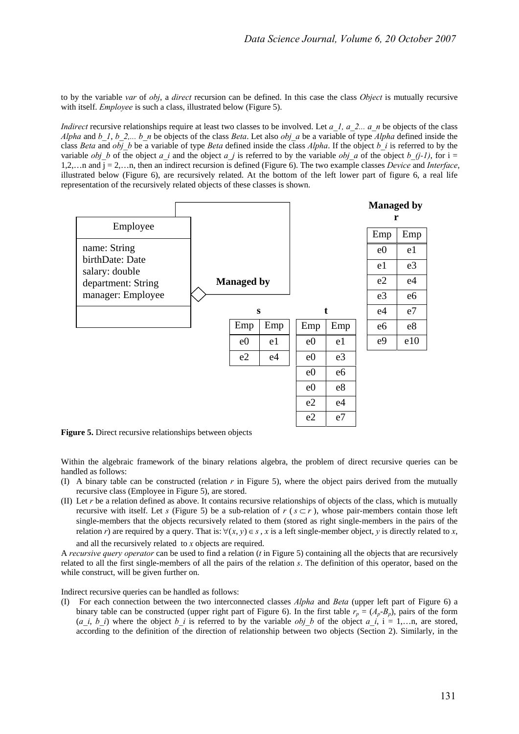to by the variable *var* of *obj*, a *direct* recursion can be defined. In this case the class *Object* is mutually recursive with itself. *Employee* is such a class, illustrated below (Figure 5).

*Indirect* recursive relationships require at least two classes to be involved. Let *a\_1, a\_2... a\_n* be objects of the class *Alpha* and *b* 1, *b* 2,... *b n* be objects of the class *Beta*. Let also *obj a* be a variable of type *Alpha* defined inside the class *Beta* and  $\overrightarrow{obj}$  b be a variable of type *Beta* defined inside the class *Alpha*. If the object *b i* is referred to by the variable *obj b* of the object *a i* and the object *a j* is referred to by the variable *obj a* of the object *b* (*j-1*), for i = 1,2,…n and j = 2,…n, then an indirect recursion is defined (Figure 6). The two example classes *Device* and *Interface*, illustrated below (Figure 6), are recursively related. At the bottom of the left lower part of figure 6, a real life representation of the recursively related objects of these classes is shown.



**Figure 5.** Direct recursive relationships between objects

Within the algebraic framework of the binary relations algebra, the problem of direct recursive queries can be handled as follows:

- (I) A binary table can be constructed (relation *r* in Figure 5), where the object pairs derived from the mutually recursive class (Employee in Figure 5), are stored.
- (II) Let  $r$  be a relation defined as above. It contains recursive relationships of objects of the class, which is mutually recursive with itself. Let *s* (Figure 5) be a sub-relation of  $r$  ( $s \subset r$ ), whose pair-members contain those left single-members that the objects recursively related to them (stored as right single-members in the pairs of the relation *r*) are required by a query. That is:  $\forall (x, y) \in s$ , *x* is a left single-member object, *y* is directly related to *x*.

and all the recursively related to *x* objects are required.

A *recursive query operator* can be used to find a relation (*t* in Figure 5) containing all the objects that are recursively related to all the first single-members of all the pairs of the relation *s*. The definition of this operator, based on the while construct, will be given further on.

Indirect recursive queries can be handled as follows:

(I) For each connection between the two interconnected classes *Alpha* and *Beta* (upper left part of Figure 6) a binary table can be constructed (upper right part of Figure 6). In the first table  $r_p = (A_p - B_p)$ , pairs of the form (*a\_i*, *b\_i*) where the object *b\_i* is referred to by the variable *obj\_b* of the object *a\_i*, i = 1,…n, are stored, according to the definition of the direction of relationship between two objects (Section 2). Similarly, in the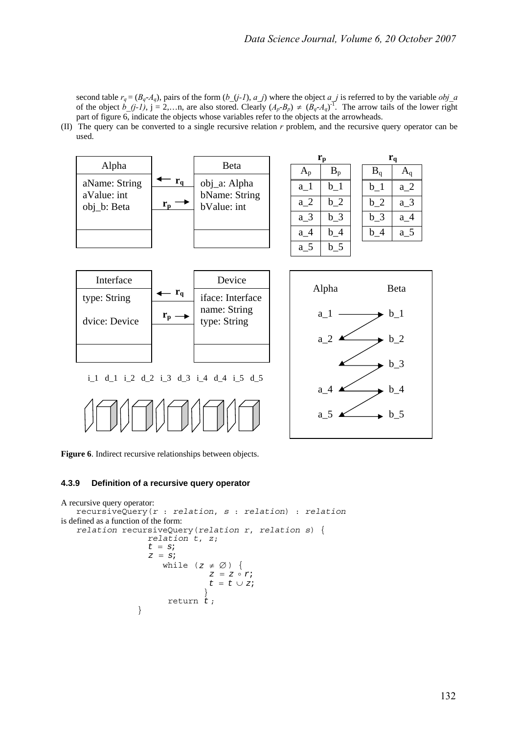second table  $r_q = (B_q - A_q)$ , pairs of the form  $(b_j - l)$ ,  $a_j$ ) where the object  $a_j$  is referred to by the variable *obj\_a* of the object  $b_-(j-1)$ ,  $j = 2,...n$ , are also stored. Clearly  $(A_p - B_p) \neq (B_q - A_q)^{-1}$ . The arrow tails of the lower right part of figure 6, indicate the objects whose variables refer to the objects at the arrowheads.

(II) The query can be converted to a single recursive relation *r* problem, and the recursive query operator can be used.



**Figure 6**. Indirect recursive relationships between objects.

#### **4.3.9 Definition of a recursive query operator**

```
A recursive query operator: 
   recursiveQuery(r : relation, s : relation) : relation
is defined as a function of the form: 
   relation recursiveQuery(relation r, relation s) { relation t, z; 
                   t = siz = siwhile (z \neq \emptyset) {<br>z = z \circ rit = t \cup zi } 
                  return t ; 
    }
```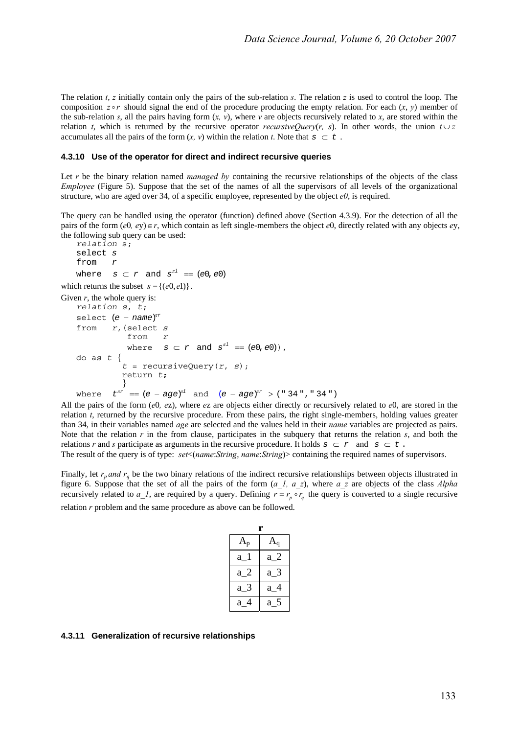The relation *t*, *z* initially contain only the pairs of the sub-relation *s*. The relation *z* is used to control the loop. The composition  $z \circ r$  should signal the end of the procedure producing the empty relation. For each  $(x, y)$  member of the sub-relation *s*, all the pairs having form  $(x, y)$ , where  $v$  are objects recursively related to *x*, are stored within the relation *t*, which is returned by the recursive operator *recursiveQuery*(*r, s*). In other words, the union  $t \cup z$ accumulates all the pairs of the form  $(x, y)$  within the relation *t*. Note that  $s \subset t$ .

#### **4.3.10 Use of the operator for direct and indirect recursive queries**

Let *r* be the binary relation named *managed by* containing the recursive relationships of the objects of the class *Employee* (Figure 5). Suppose that the set of the names of all the supervisors of all levels of the organizational structure, who are aged over 34, of a specific employee, represented by the object  $e0$ , is required.

The query can be handled using the operator (function) defined above (Section 4.3.9). For the detection of all the pairs of the form (*e*0*, e*y)∈*r*, which contain as left single-members the object *e*0, directly related with any objects *e*y, the following sub query can be used:

```
relation s; 
    select s
    from r
    where s \subset r and s^{n} = (e0, e0)which returns the subset s = \{(\mathcal{e}_0, \mathcal{e}_1)\}\.Given r, the whole query is:
    relation s, t; 
    select (e - name)^{n r}
```

```
from r,(select s
              from r
where s \subset r and s^{n} = (e0, e0), do as t \{t = \text{recursiveQuery}(r, s); return t; 
 } 
where t^{\pi r} = (e - age)^{\pi l} and (e - age)^{\pi r} > (\text{``} 34 \text{''}, \text{``} 34 \text{''})
```
All the pairs of the form (*e*0*, e*z), where *e*z are objects either directly or recursively related to *e*0, are stored in the relation *t*, returned by the recursive procedure. From these pairs, the right single-members, holding values greater than 34, in their variables named *age* are selected and the values held in their *name* variables are projected as pairs. Note that the relation  $r$  in the from clause, participates in the subquery that returns the relation  $s$ , and both the relations *r* and *s* participate as arguments in the recursive procedure. It holds  $s \subset r$  and  $s \subset t$ .

The result of the query is of type: *set*<(*name*:*String*, *name*:*String*)> containing the required names of supervisors.

Finally, let  $r_p$  and  $r_q$  be the two binary relations of the indirect recursive relationships between objects illustrated in figure 6. Suppose that the set of all the pairs of the form (*a\_1, a\_z*), where *a\_z* are objects of the class *Alpha* recursively related to  $a_l$ , are required by a query. Defining  $r = r_p \circ r_q$  the query is converted to a single recursive relation *r* problem and the same procedure as above can be followed.

| r                         |       |
|---------------------------|-------|
| $\mathbf{A}_{\mathbf{p}}$ |       |
| $a_1$                     | $a_2$ |
| $a_2$                     | $a_3$ |
| $a_3$                     | a 4   |
| a                         | $a_$  |

#### **4.3.11 Generalization of recursive relationships**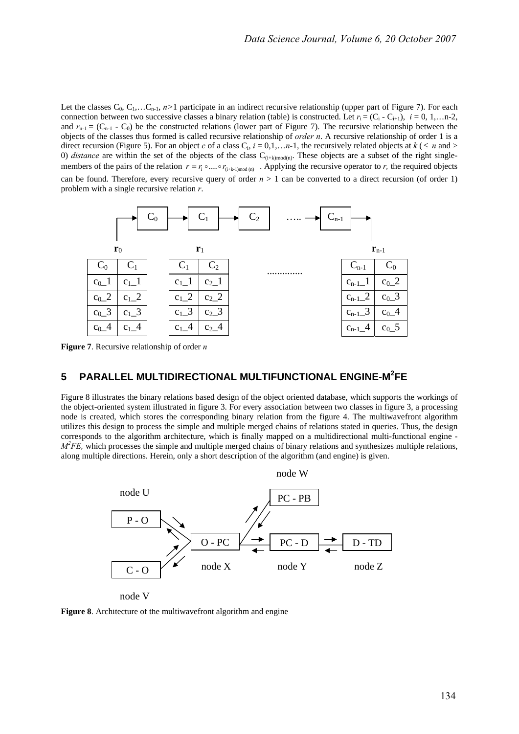Let the classes  $C_0$ ,  $C_1$ ,... $C_{n-1}$ ,  $n>1$  participate in an indirect recursive relationship (upper part of Figure 7). For each connection between two successive classes a binary relation (table) is constructed. Let  $r_i = (C_i - C_{i+1}), i = 0, 1, \ldots, n-2$ , and  $r_{n-1} = (C_{n-1} - C_0)$  be the constructed relations (lower part of Figure 7). The recursive relationship between the objects of the classes thus formed is called recursive relationship of *order n*. A recursive relationship of order 1 is a direct recursion (Figure 5). For an object *c* of a class  $C_i$ ,  $i = 0,1,...,n-1$ , the recursively related objects at  $k \leq n$  and > 0) *distance* are within the set of the objects of the class  $C_{(i+k) \text{mod}(n)}$ . These objects are a subset of the right singlemembers of the pairs of the relation  $r = r_i \circ ... \circ r_{(i+k-1)mod(n)}$ . Applying the recursive operator to *r*, the required objects can be found. Therefore, every recursive query of order  $n > 1$  can be converted to a direct recursion (of order 1) problem with a single recursive relation *r*.



**Figure 7**. Recursive relationship of order *n*

# **5 PARALLEL MULTIDIRECTIONAL MULTIFUNCTIONAL ENGINE-M<sup>2</sup> FE**

Figure 8 illustrates the binary relations based design of the object oriented database, which supports the workings of the object-oriented system illustrated in figure 3. For every association between two classes in figure 3, a processing node is created, which stores the corresponding binary relation from the figure 4. The multiwavefront algorithm utilizes this design to process the simple and multiple merged chains of relations stated in queries. Thus, the design corresponds to the algorithm architecture, which is finally mapped on a multidirectional multi-functional engine - *M*<sup>2</sup> *FE*, which processes the simple and multiple merged chains of binary relations and synthesizes multiple relations, along multiple directions. Herein, only a short description of the algorithm (and engine) is given.



**Figure 8.** Architecture of the multiwavefront algorithm and engine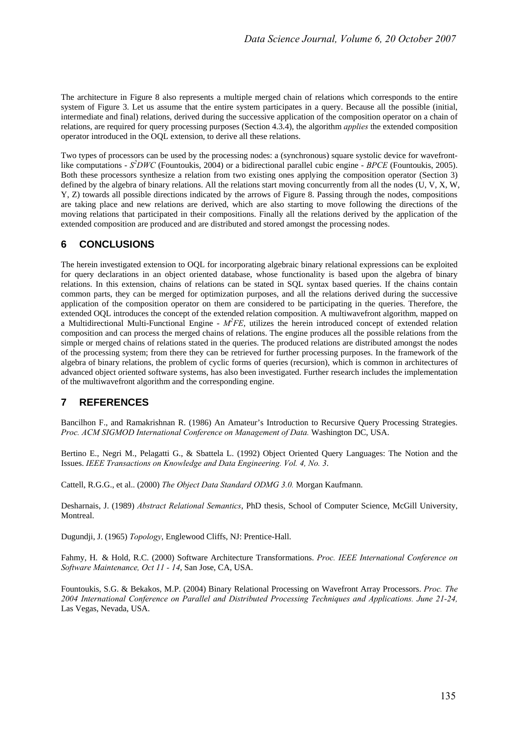The architecture in Figure 8 also represents a multiple merged chain of relations which corresponds to the entire system of Figure 3. Let us assume that the entire system participates in a query. Because all the possible (initial, intermediate and final) relations, derived during the successive application of the composition operator on a chain of relations, are required for query processing purposes (Section 4.3.4), the algorithm *applies* the extended composition operator introduced in the OQL extension, to derive all these relations.

Two types of processors can be used by the processing nodes: a (synchronous) square systolic device for wavefrontlike computations - *S<sup>2</sup>DWC* (Fountoukis, 2004) or a bidirectional parallel cubic engine - *BPCE* (Fountoukis, 2005). Both these processors synthesize a relation from two existing ones applying the composition operator (Section 3) defined by the algebra of binary relations. All the relations start moving concurrently from all the nodes (U, V, X, W, Y, Z) towards all possible directions indicated by the arrows of Figure 8. Passing through the nodes, compositions are taking place and new relations are derived, which are also starting to move following the directions of the moving relations that participated in their compositions. Finally all the relations derived by the application of the extended composition are produced and are distributed and stored amongst the processing nodes.

## **6 CONCLUSIONS**

The herein investigated extension to OQL for incorporating algebraic binary relational expressions can be exploited for query declarations in an object oriented database, whose functionality is based upon the algebra of binary relations. In this extension, chains of relations can be stated in SQL syntax based queries. If the chains contain common parts, they can be merged for optimization purposes, and all the relations derived during the successive application of the composition operator on them are considered to be participating in the queries. Therefore, the extended OQL introduces the concept of the extended relation composition. A multiwavefront algorithm, mapped on a Multidirectional Multi-Functional Engine -  $M^2FE$ , utilizes the herein introduced concept of extended relation composition and can process the merged chains of relations. The engine produces all the possible relations from the simple or merged chains of relations stated in the queries. The produced relations are distributed amongst the nodes of the processing system; from there they can be retrieved for further processing purposes. In the framework of the algebra of binary relations, the problem of cyclic forms of queries (recursion), which is common in architectures of advanced object oriented software systems, has also been investigated. Further research includes the implementation of the multiwavefront algorithm and the corresponding engine.

# **7 REFERENCES**

Bancilhon F., and Ramakrishnan R. (1986) An Amateur's Introduction to Recursive Query Processing Strategies. *Proc. ACM SIGMOD International Conference on Management of Data.* Washington DC, USA.

Bertino E., Negri M., Pelagatti G., & Sbattela L. (1992) Object Oriented Query Languages: The Notion and the Issues. *IEEE Transactions on Knowledge and Data Engineering. Vol. 4, No. 3*.

Cattell, R.G.G., et al.. (2000) *The Object Data Standard ODMG 3.0.* Morgan Kaufmann.

Desharnais, J. (1989) *Abstract Relational Semantics*, PhD thesis, School of Computer Science, McGill University, Montreal.

Dugundji, J. (1965) *Topology*, Englewood Cliffs, NJ: Prentice-Hall.

Fahmy, H. & Hold, R.C. (2000) Software Architecture Transformations. *Proc. IEEE International Conference on Software Maintenance, Oct 11 - 14*, San Jose, CA, USA.

Fountoukis, S.G. & Bekakos, M.P. (2004) Binary Relational Processing on Wavefront Array Processors. *Proc. The 2004 International Conference on Parallel and Distributed Processing Techniques and Applications. June 21-24,*  Las Vegas, Nevada, USA.